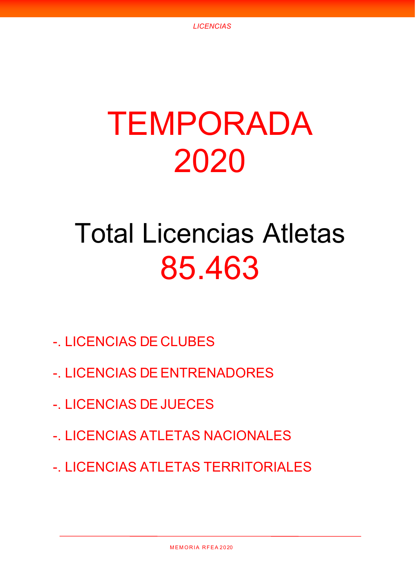# TEMPORADA 2020

## Total Licencias Atletas 85.463

- -. LICENCIAS DE CLUBES
- -. LICENCIAS DE ENTRENADORES
- -. LICENCIAS DE JUECES
- -. LICENCIAS ATLETAS NACIONALES
- -. LICENCIAS ATLETAS TERRITORIALES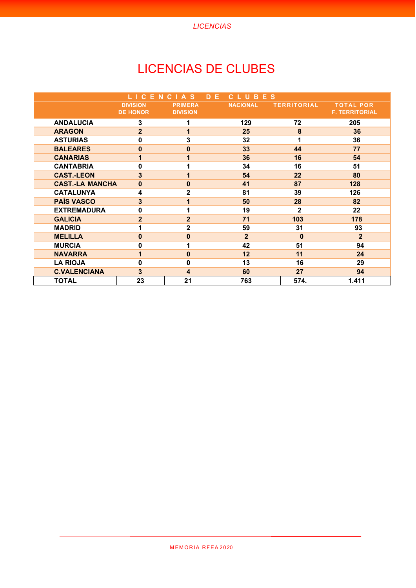*LICENCIAS*

## LICENCIAS DE CLUBES

|                        | LICENCIAS                          |                                   | D E | CLUBES          |                    |                                           |
|------------------------|------------------------------------|-----------------------------------|-----|-----------------|--------------------|-------------------------------------------|
|                        | <b>DIVISION</b><br><b>DE HONOR</b> | <b>PRIMERA</b><br><b>DIVISION</b> |     | <b>NACIONAL</b> | <b>TERRITORIAL</b> | <b>TOTAL POR</b><br><b>F. TERRITORIAL</b> |
| <b>ANDALUCIA</b>       | 3                                  |                                   |     | 129             | 72                 | 205                                       |
| <b>ARAGON</b>          | $\overline{2}$                     | 1                                 |     | 25              | 8                  | 36                                        |
| <b>ASTURIAS</b>        | 0                                  | 3                                 |     | 32              | 1                  | 36                                        |
| <b>BALEARES</b>        | $\pmb{0}$                          | $\bf{0}$                          |     | 33              | 44                 | 77                                        |
| <b>CANARIAS</b>        | 1                                  |                                   |     | 36              | 16                 | 54                                        |
| <b>CANTABRIA</b>       | 0                                  |                                   |     | 34              | 16                 | 51                                        |
| <b>CAST.-LEON</b>      | 3                                  | 1                                 |     | 54              | 22                 | 80                                        |
| <b>CAST.-LA MANCHA</b> | $\pmb{0}$                          | $\bf{0}$                          |     | 41              | 87                 | 128                                       |
| <b>CATALUNYA</b>       | 4                                  | $\overline{2}$                    |     | 81              | 39                 | 126                                       |
| <b>PAÍS VASCO</b>      | 3                                  |                                   |     | 50              | 28                 | 82                                        |
| <b>EXTREMADURA</b>     | 0                                  |                                   |     | 19              | $\mathbf{2}$       | 22                                        |
| <b>GALICIA</b>         | $\overline{2}$                     | $\overline{2}$                    |     | 71              | 103                | 178                                       |
| <b>MADRID</b>          | 1                                  | $\overline{2}$                    |     | 59              | 31                 | 93                                        |
| <b>MELILLA</b>         | $\mathbf 0$                        | $\bf{0}$                          |     | $\overline{2}$  | $\bf{0}$           | $\overline{2}$                            |
| <b>MURCIA</b>          | $\pmb{0}$                          |                                   |     | 42              | 51                 | 94                                        |
| <b>NAVARRA</b>         | 1                                  | $\bf{0}$                          |     | 12              | 11                 | 24                                        |
| <b>LA RIOJA</b>        | $\mathbf 0$                        | $\mathbf{0}$                      |     | 13              | 16                 | 29                                        |
| <b>C.VALENCIANA</b>    | 3                                  | 4                                 |     | 60              | 27                 | 94                                        |
| <b>TOTAL</b>           | 23                                 | 21                                |     | 763             | 574.               | 1.411                                     |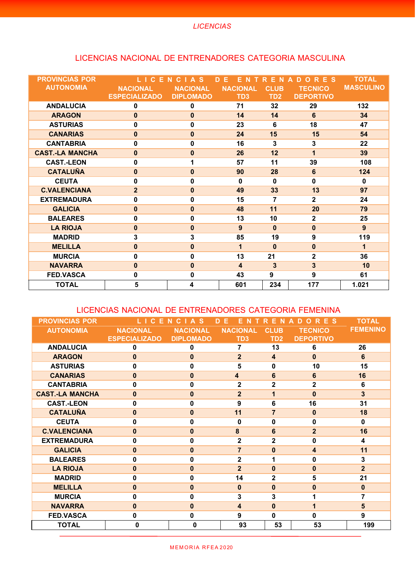#### LICENCIAS NACIONAL DE ENTRENADORES CATEGORIA MASCULINA

| <b>PROVINCIAS POR</b>  | <b>CEN</b>           | $C \cap A$<br>-S | D.<br>Е<br>N<br>E.      | E N<br>R        | <b>RES</b><br>D<br>$\Omega$<br>$\Delta$ | <b>TOTAL</b>     |
|------------------------|----------------------|------------------|-------------------------|-----------------|-----------------------------------------|------------------|
| <b>AUTONOMIA</b>       | <b>NACIONAL</b>      | <b>NACIONAL</b>  | <b>NACIONAL</b>         | <b>CLUB</b>     | <b>TECNICO</b>                          | <b>MASCULINO</b> |
|                        | <b>ESPECIALIZADO</b> | <b>DIPLOMADO</b> | TD <sub>3</sub>         | TD <sub>2</sub> | <b>DEPORTIVO</b>                        |                  |
| <b>ANDALUCIA</b>       | 0                    | $\bf{0}$         | 71                      | 32              | 29                                      | 132              |
| <b>ARAGON</b>          | $\bf{0}$             | $\mathbf{0}$     | 14                      | 14              | 6                                       | 34               |
| <b>ASTURIAS</b>        | 0                    | $\mathbf 0$      | 23                      | 6               | 18                                      | 47               |
| <b>CANARIAS</b>        | $\bf{0}$             | $\mathbf{0}$     | 24                      | 15              | 15                                      | 54               |
| <b>CANTABRIA</b>       | $\mathbf 0$          | $\mathbf 0$      | 16                      | 3               | 3                                       | 22               |
| <b>CAST.-LA MANCHA</b> | $\bf{0}$             | $\bf{0}$         | 26                      | 12              | 1                                       | 39               |
| <b>CAST.-LEON</b>      | $\mathbf 0$          | 1                | 57                      | 11              | 39                                      | 108              |
| <b>CATALUÑA</b>        | $\mathbf{0}$         | $\mathbf{0}$     | 90                      | 28              | 6                                       | 124              |
| <b>CEUTA</b>           | 0                    | $\mathbf 0$      | $\bf{0}$                | $\bf{0}$        | $\bf{0}$                                | $\bf{0}$         |
| <b>C.VALENCIANA</b>    | $\overline{2}$       | $\mathbf{0}$     | 49                      | 33              | 13                                      | 97               |
| <b>EXTREMADURA</b>     | 0                    | $\mathbf{0}$     | 15                      | 7               | $\mathbf{2}$                            | 24               |
| <b>GALICIA</b>         | $\bf{0}$             | $\mathbf{0}$     | 48                      | 11              | 20                                      | 79               |
| <b>BALEARES</b>        | 0                    | $\mathbf{0}$     | 13                      | 10              | $\mathbf 2$                             | 25               |
| <b>LA RIOJA</b>        | $\bf{0}$             | $\mathbf{0}$     | 9                       | $\mathbf{0}$    | $\bf{0}$                                | 9                |
| <b>MADRID</b>          | 3                    | 3                | 85                      | 19              | 9                                       | 119              |
| <b>MELILLA</b>         | $\pmb{0}$            | $\mathbf 0$      | 1                       | $\bf{0}$        | $\bf{0}$                                | 1                |
| <b>MURCIA</b>          | 0                    | $\mathbf{0}$     | 13                      | 21              | $\overline{2}$                          | 36               |
| <b>NAVARRA</b>         | $\mathbf 0$          | $\mathbf{0}$     | $\overline{\mathbf{4}}$ | 3               | 3                                       | 10               |
| <b>FED.VASCA</b>       | 0                    | $\mathbf 0$      | 43                      | 9               | 9                                       | 61               |
| <b>TOTAL</b>           | 5                    | 4                | 601                     | 234             | 177                                     | 1.021            |

#### LICENCIAS NACIONAL DE ENTRENADORES CATEGORIA FEMENINA

| <b>PROVINCIAS POR</b>  | C E                  | C<br>$\blacktriangle$<br><b>S</b><br>N. | F<br>D.<br>F.<br>N      | <b>N</b><br>E.          | €<br>ES<br>D<br>O<br>A | <b>TOTAL</b>    |
|------------------------|----------------------|-----------------------------------------|-------------------------|-------------------------|------------------------|-----------------|
| <b>AUTONOMIA</b>       | <b>NACIONAL</b>      | <b>NACIONAL</b>                         | <b>NACIONAL</b>         | <b>CLUB</b>             | <b>TECNICO</b>         | <b>FEMENINO</b> |
|                        | <b>ESPECIALIZADO</b> | <b>DIPLOMADO</b>                        | TD <sub>3</sub>         | TD <sub>2</sub>         | <b>DEPORTIVO</b>       |                 |
| <b>ANDALUCIA</b>       | 0                    | 0                                       | 7                       | 13                      | 6                      | 26              |
| <b>ARAGON</b>          | $\mathbf{0}$         | $\mathbf{0}$                            | $\overline{2}$          | $\overline{\mathbf{4}}$ | $\mathbf{0}$           | 6               |
| <b>ASTURIAS</b>        | $\bf{0}$             | $\bf{0}$                                | 5                       | $\bf{0}$                | 10                     | 15              |
| <b>CANARIAS</b>        | $\mathbf{0}$         | $\bf{0}$                                | $\overline{\mathbf{4}}$ | $6\phantom{1}6$         | 6                      | 16              |
| <b>CANTABRIA</b>       | $\bf{0}$             | 0                                       | $\overline{2}$          | $\overline{2}$          | $\mathbf{2}$           | 6               |
| <b>CAST.-LA MANCHA</b> | $\bf{0}$             | $\mathbf{0}$                            | $\overline{2}$          | 1                       | $\Omega$               | 3               |
| <b>CAST.-LEON</b>      | $\bf{0}$             | $\bf{0}$                                | 9                       | $6\phantom{1}$          | 16                     | 31              |
| <b>CATALUÑA</b>        | $\bf{0}$             | $\bf{0}$                                | 11                      | $\overline{7}$          | $\bf{0}$               | 18              |
| <b>CEUTA</b>           | 0                    | 0                                       | 0                       | $\bf{0}$                | O                      | $\bf{0}$        |
| <b>C.VALENCIANA</b>    | $\mathbf{0}$         | $\mathbf{0}$                            | 8                       | 6                       | $\overline{2}$         | 16              |
| <b>EXTREMADURA</b>     | $\bf{0}$             | $\bf{0}$                                | $\overline{2}$          | $\overline{\mathbf{2}}$ | $\bf{0}$               | 4               |
| <b>GALICIA</b>         | $\mathbf{0}$         | $\bf{0}$                                | $\overline{7}$          | $\mathbf{0}$            | 4                      | 11              |
| <b>BALEARES</b>        | 0                    | 0                                       | $\overline{\mathbf{2}}$ | 1                       | 0                      | 3               |
| <b>LA RIOJA</b>        | $\bf{0}$             | $\bf{0}$                                | $\overline{2}$          | $\mathbf{0}$            | $\Omega$               | $\overline{2}$  |
| <b>MADRID</b>          | $\bf{0}$             | $\bf{0}$                                | 14                      | $\overline{\mathbf{2}}$ | 5                      | 21              |
| <b>MELILLA</b>         | $\Omega$             | $\bf{0}$                                | $\bf{0}$                | $\mathbf{0}$            | $\Omega$               | $\mathbf{0}$    |
| <b>MURCIA</b>          | 0                    | 0                                       | 3                       | 3                       |                        | 7               |
| <b>NAVARRA</b>         | $\mathbf{0}$         | $\mathbf{0}$                            | $\overline{\mathbf{4}}$ | $\mathbf{0}$            | 1                      | 5               |
| <b>FED.VASCA</b>       | $\mathbf 0$          | $\mathbf 0$                             | 9                       | $\mathbf 0$             | $\bf{0}$               | 9               |
| <b>TOTAL</b>           | $\bf{0}$             | $\bf{0}$                                | 93                      | 53                      | 53                     | 199             |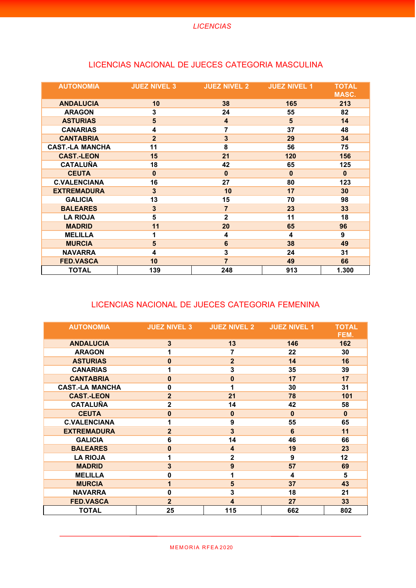| <b>AUTONOMIA</b>       | <b>JUEZ NIVEL 3</b> | <b>JUEZ NIVEL 2</b>     | <b>JUEZ NIVEL 1</b> | <b>TOTAL</b><br>MASC. |
|------------------------|---------------------|-------------------------|---------------------|-----------------------|
| <b>ANDALUCIA</b>       | 10                  | 38                      | 165                 | 213                   |
| <b>ARAGON</b>          | 3                   | 24                      | 55                  | 82                    |
| <b>ASTURIAS</b>        | 5                   | $\overline{\mathbf{4}}$ | 5                   | 14                    |
| <b>CANARIAS</b>        | 4                   | 7                       | 37                  | 48                    |
| <b>CANTABRIA</b>       | $\overline{2}$      | $\overline{\mathbf{3}}$ | 29                  | 34                    |
| <b>CAST.-LA MANCHA</b> | 11                  | 8                       | 56                  | 75                    |
| <b>CAST.-LEON</b>      | 15                  | 21                      | 120                 | 156                   |
| <b>CATALUÑA</b>        | 18                  | 42                      | 65                  | 125                   |
| <b>CEUTA</b>           | $\bf{0}$            | $\bf{0}$                | $\bf{0}$            | $\bf{0}$              |
| <b>C.VALENCIANA</b>    | 16                  | 27                      | 80                  | 123                   |
| <b>EXTREMADURA</b>     | 3                   | 10                      | 17                  | 30                    |
| <b>GALICIA</b>         | 13                  | 15                      | 70                  | 98                    |
| <b>BALEARES</b>        | $\mathbf{3}$        | $\overline{7}$          | 23                  | 33                    |
| <b>LA RIOJA</b>        | 5                   | $\overline{2}$          | 11                  | 18                    |
| <b>MADRID</b>          | 11                  | 20                      | 65                  | 96                    |
| <b>MELILLA</b>         | 1                   | 4                       | 4                   | 9                     |
| <b>MURCIA</b>          | 5                   | $6\phantom{1}$          | 38                  | 49                    |
| <b>NAVARRA</b>         | 4                   | 3                       | 24                  | 31                    |
| <b>FED.VASCA</b>       | 10                  | $\overline{7}$          | 49                  | 66                    |
| <b>TOTAL</b>           | 139                 | 248                     | 913                 | 1.300                 |

#### LICENCIAS NACIONAL DE JUECES CATEGORIA MASCULINA

#### LICENCIAS NACIONAL DE JUECES CATEGORIA FEMENINA

| <b>AUTONOMIA</b>       | <b>JUEZ NIVEL 3</b> | <b>JUEZ NIVEL 2</b>     | <b>JUEZ NIVEL 1</b> | <b>TOTAL</b><br>FEM. |
|------------------------|---------------------|-------------------------|---------------------|----------------------|
| <b>ANDALUCIA</b>       | 3                   | 13                      | 146                 | 162                  |
| <b>ARAGON</b>          |                     | 7                       | 22                  | 30                   |
| <b>ASTURIAS</b>        | $\bf{0}$            | $\overline{2}$          | 14                  | 16                   |
| <b>CANARIAS</b>        | 1                   | 3                       | 35                  | 39                   |
| <b>CANTABRIA</b>       | $\bf{0}$            | $\mathbf{0}$            | 17                  | 17                   |
| <b>CAST.-LA MANCHA</b> | $\mathbf{0}$        |                         | 30                  | 31                   |
| <b>CAST.-LEON</b>      | $\overline{2}$      | 21                      | 78                  | 101                  |
| <b>CATALUÑA</b>        | $\overline{2}$      | 14                      | 42                  | 58                   |
| <b>CEUTA</b>           | $\bf{0}$            | $\bf{0}$                | $\bf{0}$            | $\bf{0}$             |
| <b>C.VALENCIANA</b>    | 1                   | 9                       | 55                  | 65                   |
| <b>EXTREMADURA</b>     | $\overline{2}$      | 3                       | 6                   | 11                   |
| <b>GALICIA</b>         | 6                   | 14                      | 46                  | 66                   |
| <b>BALEARES</b>        | $\bf{0}$            | $\overline{\mathbf{4}}$ | 19                  | 23                   |
| <b>LA RIOJA</b>        | 1                   | $\overline{2}$          | 9                   | 12                   |
| <b>MADRID</b>          | 3                   | 9                       | 57                  | 69                   |
| <b>MELILLA</b>         | $\mathbf{0}$        | 1                       | 4                   | 5                    |
| <b>MURCIA</b>          | 1                   | 5                       | 37                  | 43                   |
| <b>NAVARRA</b>         | $\mathbf 0$         | 3                       | 18                  | 21                   |
| <b>FED.VASCA</b>       | $\overline{2}$      | $\overline{\mathbf{4}}$ | 27                  | 33                   |
| <b>TOTAL</b>           | 25                  | 115                     | 662                 | 802                  |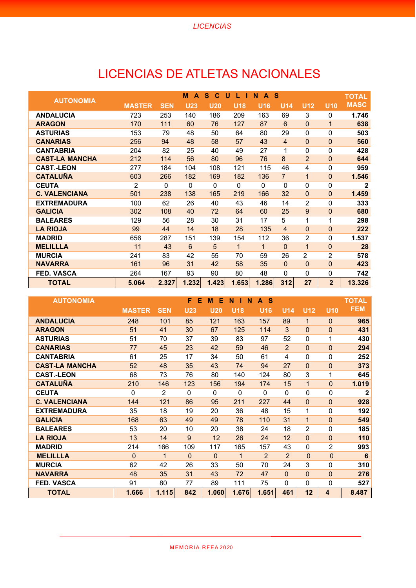## LICENCIAS DE ATLETAS NACIONALES

| <b>AUTONOMIA</b>      |                |            | M<br>A     | S.<br>C    | U<br>L.<br>п    | N<br>A          | <b>S</b>        |                 |                 | <b>TOTAL</b> |
|-----------------------|----------------|------------|------------|------------|-----------------|-----------------|-----------------|-----------------|-----------------|--------------|
|                       | <b>MASTER</b>  | <b>SEN</b> | <b>U23</b> | <b>U20</b> | U <sub>18</sub> | U <sub>16</sub> | U <sub>14</sub> | U <sub>12</sub> | U <sub>10</sub> | <b>MASC</b>  |
| <b>ANDALUCIA</b>      | 723            | 253        | 140        | 186        | 209             | 163             | 69              | 3               | 0               | 1.746        |
| <b>ARAGON</b>         | 170            | 111        | 60         | 76         | 127             | 87              | 6               | $\Omega$        | 1               | 638          |
| <b>ASTURIAS</b>       | 153            | 79         | 48         | 50         | 64              | 80              | 29              | $\Omega$        | $\mathbf{0}$    | 503          |
| <b>CANARIAS</b>       | 256            | 94         | 48         | 58         | 57              | 43              | $\overline{4}$  | $\Omega$        | $\overline{0}$  | 560          |
| <b>CANTABRIA</b>      | 204            | 82         | 25         | 40         | 49              | 27              | 1               | 0               | $\mathbf{0}$    | 428          |
| <b>CAST-LA MANCHA</b> | 212            | 114        | 56         | 80         | 96              | 76              | 8               | $\overline{2}$  | $\overline{0}$  | 644          |
| <b>CAST.-LEON</b>     | 277            | 184        | 104        | 108        | 121             | 115             | 46              | 4               | 0               | 959          |
| <b>CATALUÑA</b>       | 603            | 266        | 182        | 169        | 182             | 136             | $\overline{7}$  | $\mathbf 1$     | $\overline{0}$  | 1.546        |
| <b>CEUTA</b>          | $\overline{2}$ | $\Omega$   | 0          | 0          | $\Omega$        | $\Omega$        | $\Omega$        | $\Omega$        | $\mathbf 0$     | $\mathbf{2}$ |
| <b>C. VALENCIANA</b>  | 501            | 238        | 138        | 165        | 219             | 166             | 32              | $\Omega$        | $\mathbf{0}$    | 1.459        |
| <b>EXTREMADURA</b>    | 100            | 62         | 26         | 40         | 43              | 46              | 14              | $\overline{2}$  | $\mathbf 0$     | 333          |
| <b>GALICIA</b>        | 302            | 108        | 40         | 72         | 64              | 60              | 25              | 9               | $\mathbf{0}$    | 680          |
| <b>BALEARES</b>       | 129            | 56         | 28         | 30         | 31              | 17              | 5               | 1               | 1               | 298          |
| <b>LA RIOJA</b>       | 99             | 44         | 14         | 18         | 28              | 135             | 4               | $\Omega$        | $\Omega$        | 222          |
| <b>MADRID</b>         | 656            | 287        | 151        | 139        | 154             | 112             | 36              | $\overline{2}$  | $\mathbf{0}$    | 1.537        |
| <b>MELILLLA</b>       | 11             | 43         | 6          | 5          | 1               | $\mathbf{1}$    | $\Omega$        | 1               | $\Omega$        | 28           |
| <b>MURCIA</b>         | 241            | 83         | 42         | 55         | 70              | 59              | 26              | $\overline{2}$  | $\overline{2}$  | 578          |
| <b>NAVARRA</b>        | 161            | 96         | 31         | 42         | 58              | 35              | $\mathbf{0}$    | $\Omega$        | $\mathbf 0$     | 423          |
| <b>FED. VASCA</b>     | 264            | 167        | 93         | 90         | 80              | 48              | $\Omega$        | $\mathbf{0}$    | 0               | 742          |
| <b>TOTAL</b>          | 5.064          | 2.327      | 1.232      | 1.423      | 1.653           | 1.286           | 312             | 27              | $\overline{2}$  | 13.326       |

| <b>AUTONOMIA</b>      |               |                | F.<br>Е    | Е<br>M       | N<br>N<br>Т     | <b>S</b><br>$\mathbf{A}$ |                 |                 |                | <b>TOTAL</b>    |
|-----------------------|---------------|----------------|------------|--------------|-----------------|--------------------------|-----------------|-----------------|----------------|-----------------|
|                       | <b>MASTER</b> | <b>SEN</b>     | <b>U23</b> | <b>U20</b>   | U <sub>18</sub> | U <sub>16</sub>          | U <sub>14</sub> | U <sub>12</sub> | <b>U10</b>     | <b>FEM</b>      |
| <b>ANDALUCIA</b>      | 248           | 101            | 85         | 121          | 163             | 157                      | 89              | $\mathbf{1}$    | $\Omega$       | 965             |
| <b>ARAGON</b>         | 51            | 41             | 30         | 67           | 125             | 114                      | 3               | $\Omega$        | $\mathbf{0}$   | 431             |
| <b>ASTURIAS</b>       | 51            | 70             | 37         | 39           | 83              | 97                       | 52              | $\Omega$        | 1              | 430             |
| <b>CANARIAS</b>       | 77            | 45             | 23         | 42           | 59              | 46                       | 2               | $\Omega$        | $\Omega$       | 294             |
| <b>CANTABRIA</b>      | 61            | 25             | 17         | 34           | 50              | 61                       | 4               | $\Omega$        | 0              | 252             |
| <b>CAST-LA MANCHA</b> | 52            | 48             | 35         | 43           | 74              | 94                       | 27              | $\overline{0}$  | $\mathbf{0}$   | 373             |
| <b>CAST.-LEON</b>     | 68            | 73             | 76         | 80           | 140             | 124                      | 80              | 3               | 1              | 645             |
| <b>CATALUÑA</b>       | 210           | 146            | 123        | 156          | 194             | 174                      | 15              | 1               | $\Omega$       | 1.019           |
| <b>CEUTA</b>          | 0             | $\overline{2}$ | $\Omega$   | $\mathbf{0}$ | $\mathbf{0}$    | $\Omega$                 | $\Omega$        | $\mathbf 0$     | $\mathbf{0}$   | $\mathbf{2}$    |
| <b>C. VALENCIANA</b>  | 144           | 121            | 86         | 95           | 211             | 227                      | 44              | $\Omega$        | $\overline{0}$ | 928             |
| <b>EXTREMADURA</b>    | 35            | 18             | 19         | 20           | 36              | 48                       | 15              | 1               | 0              | 192             |
| <b>GALICIA</b>        | 168           | 63             | 49         | 49           | 78              | 110                      | 31              | $\mathbf{1}$    | $\mathbf{0}$   | 549             |
| <b>BALEARES</b>       | 53            | 20             | 10         | 20           | 38              | 24                       | 18              | $\overline{2}$  | 0              | 185             |
| <b>LA RIOJA</b>       | 13            | 14             | 9          | 12           | 26              | 24                       | 12              | $\Omega$        | $\overline{0}$ | 110             |
| <b>MADRID</b>         | 214           | 166            | 109        | 117          | 165             | 157                      | 43              | $\mathbf 0$     | $\overline{2}$ | 993             |
| <b>MELILLLA</b>       | $\Omega$      | 1              | $\Omega$   | $\Omega$     | $\mathbf 1$     | 2                        | $\overline{2}$  | $\Omega$        | $\overline{0}$ | $6\phantom{1}6$ |
| <b>MURCIA</b>         | 62            | 42             | 26         | 33           | 50              | 70                       | 24              | 3               | 0              | 310             |
| <b>NAVARRA</b>        | 48            | 35             | 31         | 43           | 72              | 47                       | $\overline{0}$  | $\Omega$        | $\overline{0}$ | 276             |
| <b>FED. VASCA</b>     | 91            | 80             | 77         | 89           | 111             | 75                       | 0               | $\Omega$        | $\mathbf{0}$   | 527             |
| <b>TOTAL</b>          | 1.666         | 1.115          | 842        | 1.060        | 1.676           | 1.651                    | 461             | 12              | 4              | 8.487           |